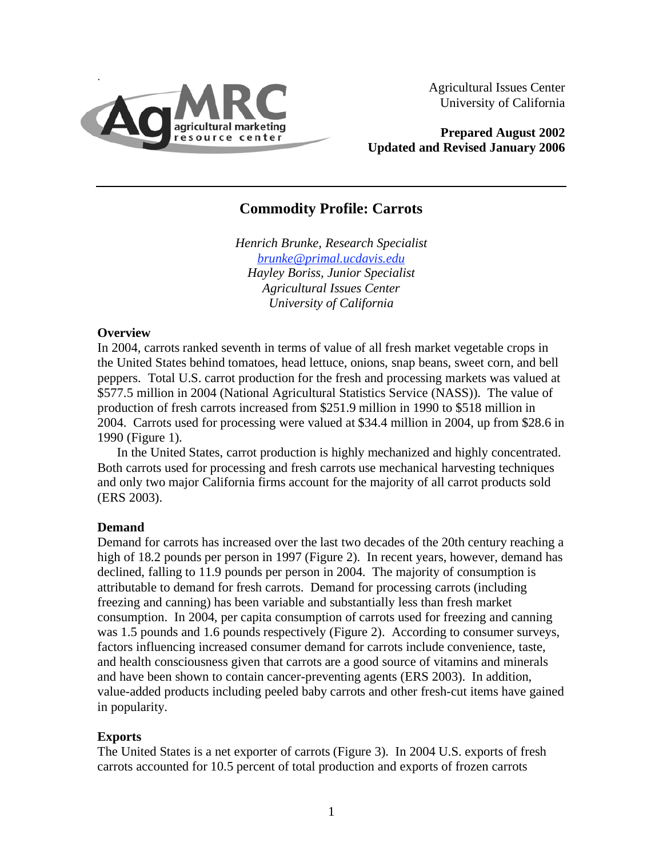

Agricultural Issues Center University of California

**Prepared August 2002 Updated and Revised January 2006** 

# **Commodity Profile: Carrots**

*Henrich Brunke, Research Specialist [brunke@primal.ucdavis.edu](mailto:brunke@primal.ucdavis.edu) Hayley Boriss, Junior Specialist Agricultural Issues Center University of California* 

### **Overview**

In 2004, carrots ranked seventh in terms of value of all fresh market vegetable crops in the United States behind tomatoes, head lettuce, onions, snap beans, sweet corn, and bell peppers. Total U.S. carrot production for the fresh and processing markets was valued at \$577.5 million in 2004 (National Agricultural Statistics Service (NASS)). The value of production of fresh carrots increased from \$251.9 million in 1990 to \$518 million in 2004. Carrots used for processing were valued at \$34.4 million in 2004, up from \$28.6 in 1990 (Figure 1).

In the United States, carrot production is highly mechanized and highly concentrated. Both carrots used for processing and fresh carrots use mechanical harvesting techniques and only two major California firms account for the majority of all carrot products sold (ERS 2003).

### **Demand**

Demand for carrots has increased over the last two decades of the 20th century reaching a high of 18.2 pounds per person in 1997 (Figure 2). In recent years, however, demand has declined, falling to 11.9 pounds per person in 2004. The majority of consumption is attributable to demand for fresh carrots. Demand for processing carrots (including freezing and canning) has been variable and substantially less than fresh market consumption. In 2004, per capita consumption of carrots used for freezing and canning was 1.5 pounds and 1.6 pounds respectively (Figure 2). According to consumer surveys, factors influencing increased consumer demand for carrots include convenience, taste, and health consciousness given that carrots are a good source of vitamins and minerals and have been shown to contain cancer-preventing agents (ERS 2003). In addition, value-added products including peeled baby carrots and other fresh-cut items have gained in popularity.

### **Exports**

The United States is a net exporter of carrots (Figure 3). In 2004 U.S. exports of fresh carrots accounted for 10.5 percent of total production and exports of frozen carrots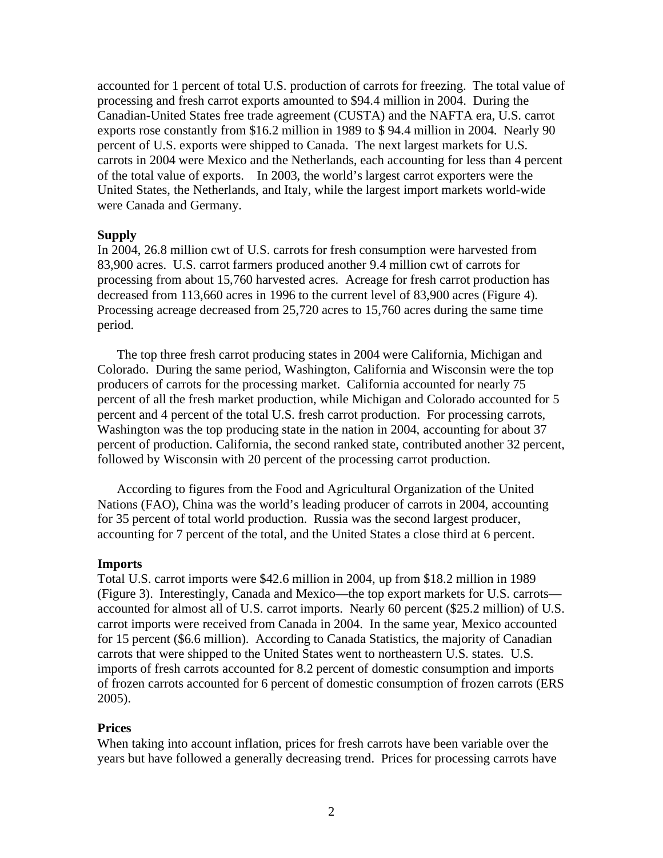accounted for 1 percent of total U.S. production of carrots for freezing. The total value of processing and fresh carrot exports amounted to \$94.4 million in 2004. During the Canadian-United States free trade agreement (CUSTA) and the NAFTA era, U.S. carrot exports rose constantly from \$16.2 million in 1989 to \$ 94.4 million in 2004. Nearly 90 percent of U.S. exports were shipped to Canada. The next largest markets for U.S. carrots in 2004 were Mexico and the Netherlands, each accounting for less than 4 percent of the total value of exports. In 2003, the world's largest carrot exporters were the United States, the Netherlands, and Italy, while the largest import markets world-wide were Canada and Germany.

#### **Supply**

In 2004, 26.8 million cwt of U.S. carrots for fresh consumption were harvested from 83,900 acres. U.S. carrot farmers produced another 9.4 million cwt of carrots for processing from about 15,760 harvested acres. Acreage for fresh carrot production has decreased from 113,660 acres in 1996 to the current level of 83,900 acres (Figure 4). Processing acreage decreased from 25,720 acres to 15,760 acres during the same time period.

The top three fresh carrot producing states in 2004 were California, Michigan and Colorado. During the same period, Washington, California and Wisconsin were the top producers of carrots for the processing market. California accounted for nearly 75 percent of all the fresh market production, while Michigan and Colorado accounted for 5 percent and 4 percent of the total U.S. fresh carrot production. For processing carrots, Washington was the top producing state in the nation in 2004, accounting for about 37 percent of production. California, the second ranked state, contributed another 32 percent, followed by Wisconsin with 20 percent of the processing carrot production.

According to figures from the Food and Agricultural Organization of the United Nations (FAO), China was the world's leading producer of carrots in 2004, accounting for 35 percent of total world production. Russia was the second largest producer, accounting for 7 percent of the total, and the United States a close third at 6 percent.

#### **Imports**

Total U.S. carrot imports were \$42.6 million in 2004, up from \$18.2 million in 1989 (Figure 3). Interestingly, Canada and Mexico—the top export markets for U.S. carrots accounted for almost all of U.S. carrot imports. Nearly 60 percent (\$25.2 million) of U.S. carrot imports were received from Canada in 2004. In the same year, Mexico accounted for 15 percent (\$6.6 million). According to Canada Statistics, the majority of Canadian carrots that were shipped to the United States went to northeastern U.S. states. U.S. imports of fresh carrots accounted for 8.2 percent of domestic consumption and imports of frozen carrots accounted for 6 percent of domestic consumption of frozen carrots (ERS 2005).

#### **Prices**

When taking into account inflation, prices for fresh carrots have been variable over the years but have followed a generally decreasing trend. Prices for processing carrots have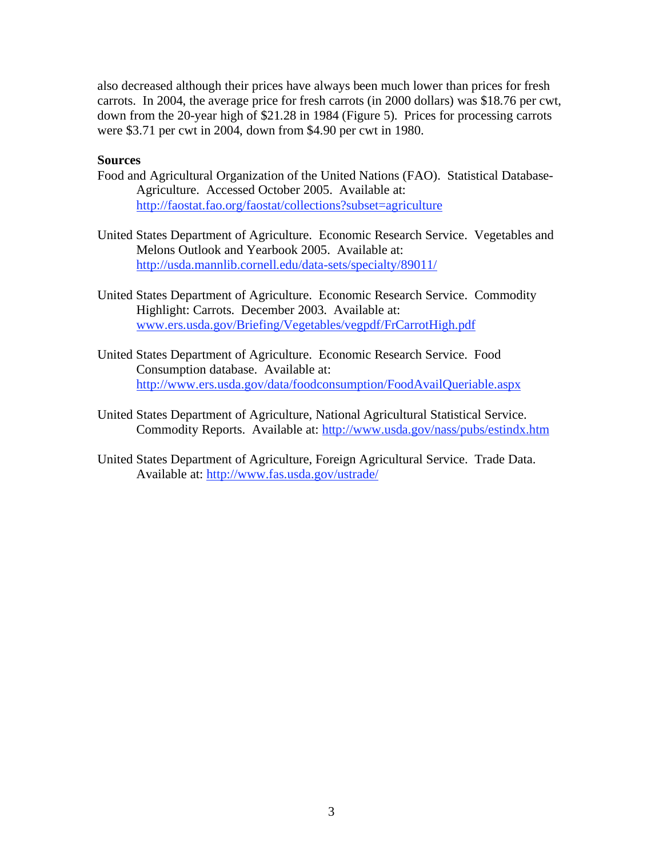also decreased although their prices have always been much lower than prices for fresh carrots. In 2004, the average price for fresh carrots (in 2000 dollars) was \$18.76 per cwt, down from the 20-year high of \$21.28 in 1984 (Figure 5). Prices for processing carrots were \$3.71 per cwt in 2004, down from \$4.90 per cwt in 1980.

## **Sources**

- Food and Agricultural Organization of the United Nations (FAO). Statistical Database-Agriculture. Accessed October 2005. Available at: <http://faostat.fao.org/faostat/collections?subset=agriculture>
- United States Department of Agriculture. Economic Research Service. Vegetables and Melons Outlook and Yearbook 2005. Available at: [http://usda.mannlib.cornell.edu/data-sets/specialty/89011/](http://usda.mannlib.cornell.edu/data-sets/specialty/89011)
- United States Department of Agriculture. Economic Research Service. Commodity Highlight: Carrots. December 2003. Available at: [www.ers.usda.gov/Briefing/Vegetables/vegpdf/FrCarrotHigh.pdf](http://www.ers.usda.gov/Briefing/Vegetables/vegpdf/FrCarrotHigh.pdf)
- United States Department of Agriculture. Economic Research Service. Food Consumption database. Available at: <http://www.ers.usda.gov/data/foodconsumption/FoodAvailQueriable.aspx>
- United States Department of Agriculture, National Agricultural Statistical Service. Commodity Reports. Available at: <http://www.usda.gov/nass/pubs/estindx.htm>
- United States Department of Agriculture, Foreign Agricultural Service. Trade Data. Available at: [http://www.fas.usda.gov/ustrade/](http://www.fas.usda.gov/ustrade)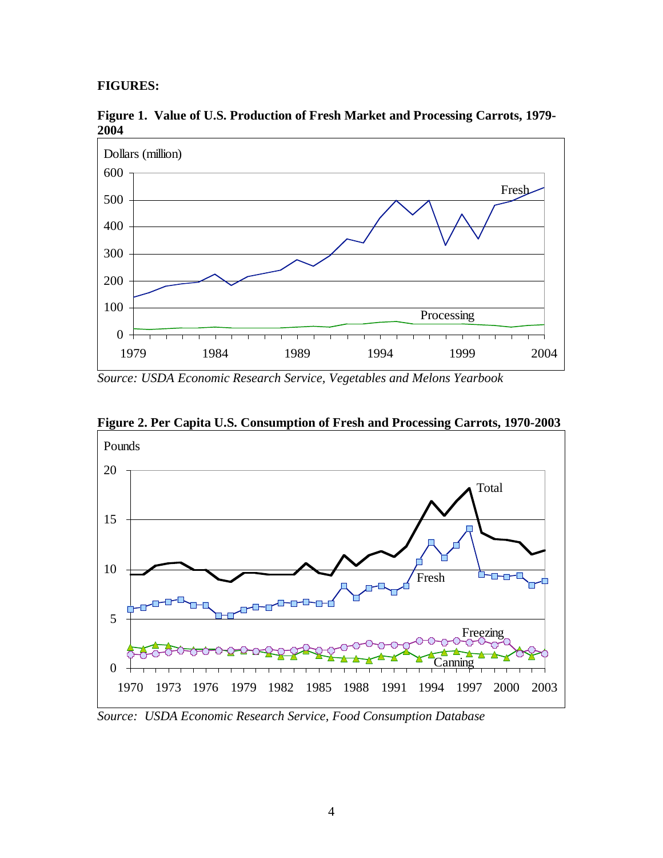## **FIGURES:**



**Figure 1. Value of U.S. Production of Fresh Market and Processing Carrots, 1979- 2004** 

*Source: USDA Economic Research Service, Vegetables and Melons Yearbook* 



**Figure 2. Per Capita U.S. Consumption of Fresh and Processing Carrots, 1970-2003** 

*Source: USDA Economic Research Service, Food Consumption Database*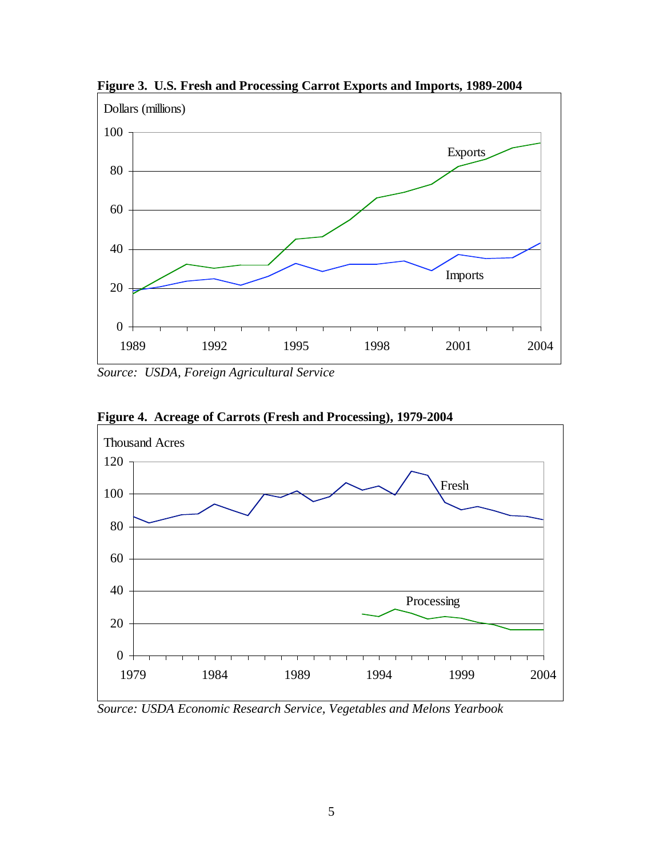

**Figure 3. U.S. Fresh and Processing Carrot Exports and Imports, 1989-2004** 

*Source: USDA, Foreign Agricultural Service* 



**Figure 4. Acreage of Carrots (Fresh and Processing), 1979-2004** 

*Source: USDA Economic Research Service, Vegetables and Melons Yearbook*